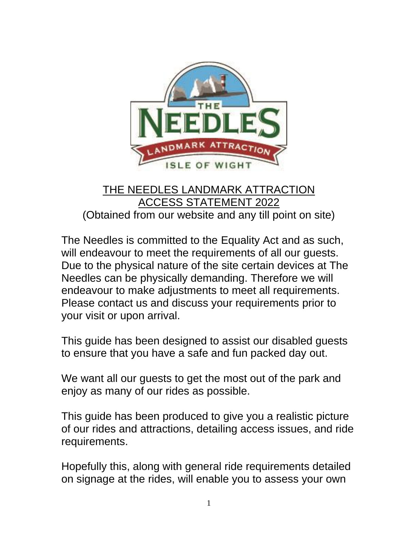

## THE NEEDLES LANDMARK ATTRACTION ACCESS STATEMENT 2022 (Obtained from our website and any till point on site)

The Needles is committed to the Equality Act and as such, will endeavour to meet the requirements of all our guests. Due to the physical nature of the site certain devices at The Needles can be physically demanding. Therefore we will endeavour to make adjustments to meet all requirements. Please contact us and discuss your requirements prior to your visit or upon arrival.

This guide has been designed to assist our disabled guests to ensure that you have a safe and fun packed day out.

We want all our guests to get the most out of the park and enjoy as many of our rides as possible.

This guide has been produced to give you a realistic picture of our rides and attractions, detailing access issues, and ride requirements.

Hopefully this, along with general ride requirements detailed on signage at the rides, will enable you to assess your own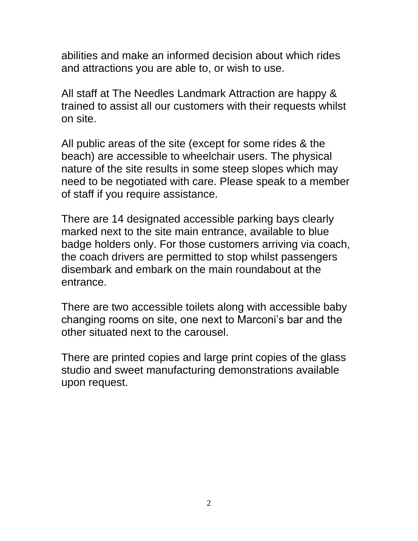abilities and make an informed decision about which rides and attractions you are able to, or wish to use.

All staff at The Needles Landmark Attraction are happy & trained to assist all our customers with their requests whilst on site.

All public areas of the site (except for some rides & the beach) are accessible to wheelchair users. The physical nature of the site results in some steep slopes which may need to be negotiated with care. Please speak to a member of staff if you require assistance.

There are 14 designated accessible parking bays clearly marked next to the site main entrance, available to blue badge holders only. For those customers arriving via coach, the coach drivers are permitted to stop whilst passengers disembark and embark on the main roundabout at the entrance.

There are two accessible toilets along with accessible baby changing rooms on site, one next to Marconi's bar and the other situated next to the carousel.

There are printed copies and large print copies of the glass studio and sweet manufacturing demonstrations available upon request.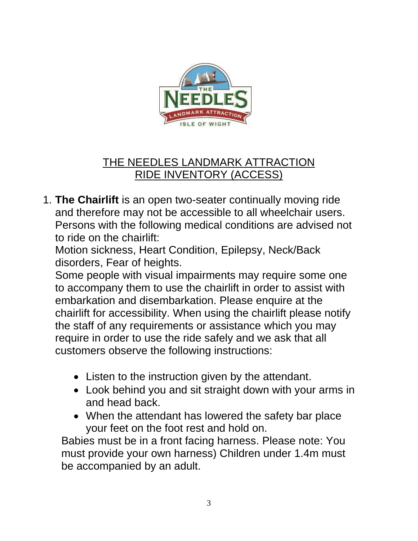

## THE NEEDLES LANDMARK ATTRACTION RIDE INVENTORY (ACCESS)

1. **The Chairlift** is an open two-seater continually moving ride and therefore may not be accessible to all wheelchair users. Persons with the following medical conditions are advised not to ride on the chairlift:

Motion sickness, Heart Condition, Epilepsy, Neck/Back disorders, Fear of heights.

Some people with visual impairments may require some one to accompany them to use the chairlift in order to assist with embarkation and disembarkation. Please enquire at the chairlift for accessibility. When using the chairlift please notify the staff of any requirements or assistance which you may require in order to use the ride safely and we ask that all customers observe the following instructions:

- Listen to the instruction given by the attendant.
- Look behind you and sit straight down with your arms in and head back.
- When the attendant has lowered the safety bar place your feet on the foot rest and hold on.

Babies must be in a front facing harness. Please note: You must provide your own harness) Children under 1.4m must be accompanied by an adult.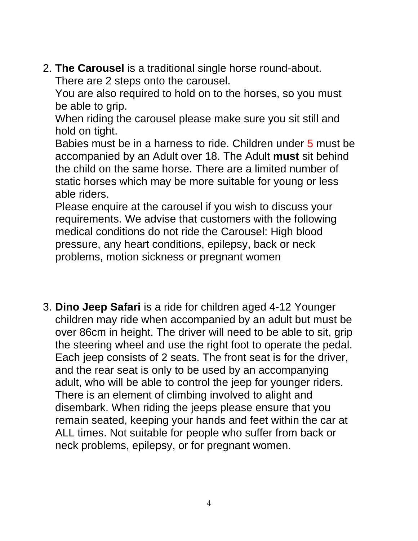2. **The Carousel** is a traditional single horse round-about. There are 2 steps onto the carousel.

You are also required to hold on to the horses, so you must be able to grip.

When riding the carousel please make sure you sit still and hold on tight.

Babies must be in a harness to ride. Children under 5 must be accompanied by an Adult over 18. The Adult **must** sit behind the child on the same horse. There are a limited number of static horses which may be more suitable for young or less able riders.

Please enquire at the carousel if you wish to discuss your requirements. We advise that customers with the following medical conditions do not ride the Carousel: High blood pressure, any heart conditions, epilepsy, back or neck problems, motion sickness or pregnant women

3. **Dino Jeep Safari** is a ride for children aged 4-12 Younger children may ride when accompanied by an adult but must be over 86cm in height. The driver will need to be able to sit, grip the steering wheel and use the right foot to operate the pedal. Each jeep consists of 2 seats. The front seat is for the driver, and the rear seat is only to be used by an accompanying adult, who will be able to control the jeep for younger riders. There is an element of climbing involved to alight and disembark. When riding the jeeps please ensure that you remain seated, keeping your hands and feet within the car at ALL times. Not suitable for people who suffer from back or neck problems, epilepsy, or for pregnant women.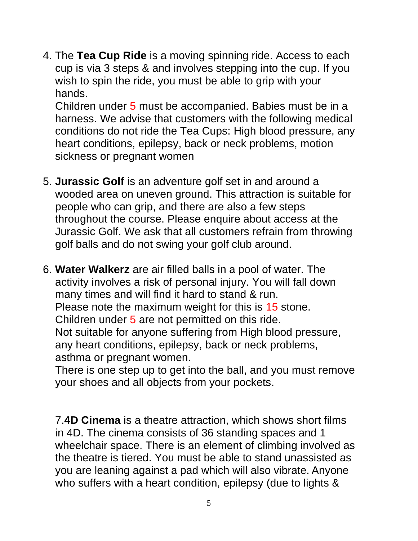4. The **Tea Cup Ride** is a moving spinning ride. Access to each cup is via 3 steps & and involves stepping into the cup. If you wish to spin the ride, you must be able to grip with your hands.

Children under 5 must be accompanied. Babies must be in a harness. We advise that customers with the following medical conditions do not ride the Tea Cups: High blood pressure, any heart conditions, epilepsy, back or neck problems, motion sickness or pregnant women

- 5. **Jurassic Golf** is an adventure golf set in and around a wooded area on uneven ground. This attraction is suitable for people who can grip, and there are also a few steps throughout the course. Please enquire about access at the Jurassic Golf. We ask that all customers refrain from throwing golf balls and do not swing your golf club around.
- 6. **Water Walkerz** are air filled balls in a pool of water. The activity involves a risk of personal injury. You will fall down many times and will find it hard to stand & run. Please note the maximum weight for this is 15 stone. Children under 5 are not permitted on this ride. Not suitable for anyone suffering from High blood pressure, any heart conditions, epilepsy, back or neck problems, asthma or pregnant women.

There is one step up to get into the ball, and you must remove your shoes and all objects from your pockets.

7.**4D Cinema** is a theatre attraction, which shows short films in 4D. The cinema consists of 36 standing spaces and 1 wheelchair space. There is an element of climbing involved as the theatre is tiered. You must be able to stand unassisted as you are leaning against a pad which will also vibrate. Anyone who suffers with a heart condition, epilepsy (due to lights &